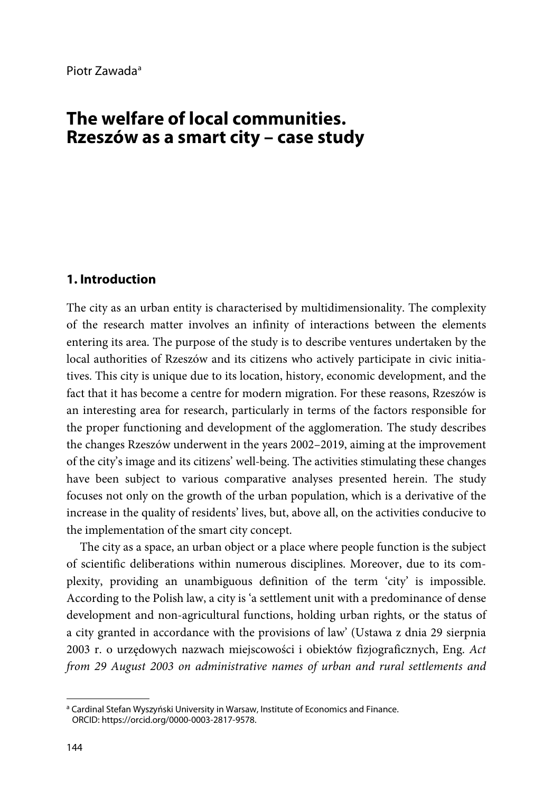# **The welfare of local communities. Rzeszów as a smart city – case study**

#### **1. Introduction**

The city as an urban entity is characterised by multidimensionality. The complexity of the research matter involves an infinity of interactions between the elements entering its area. The purpose of the study is to describe ventures undertaken by the local authorities of Rzeszów and its citizens who actively participate in civic initiatives. This city is unique due to its location, history, economic development, and the fact that it has become a centre for modern migration. For these reasons, Rzeszów is an interesting area for research, particularly in terms of the factors responsible for the proper functioning and development of the agglomeration. The study describes the changes Rzeszów underwent in the years 2002–2019, aiming at the improvement of the city's image and its citizens' well-being. The activities stimulating these changes have been subject to various comparative analyses presented herein. The study focuses not only on the growth of the urban population, which is a derivative of the increase in the quality of residents' lives, but, above all, on the activities conducive to the implementation of the smart city concept.

The city as a space, an urban object or a place where people function is the subject of scientific deliberations within numerous disciplines. Moreover, due to its complexity, providing an unambiguous definition of the term 'city' is impossible. According to the Polish law, a city is 'a settlement unit with a predominance of dense development and non-agricultural functions, holding urban rights, or the status of a city granted in accordance with the provisions of law' (Ustawa z dnia 29 sierpnia 2003 r. o urzędowych nazwach miejscowości i obiektów fizjograficznych, Eng. *Act from 29 August 2003 on administrative names of urban and rural settlements and* 

<span id="page-0-0"></span><sup>&</sup>lt;sup>a</sup> Cardinal Stefan Wyszyński University in Warsaw, Institute of Economics and Finance. ORCID: https://orcid.org/0000-0003-2817-9578.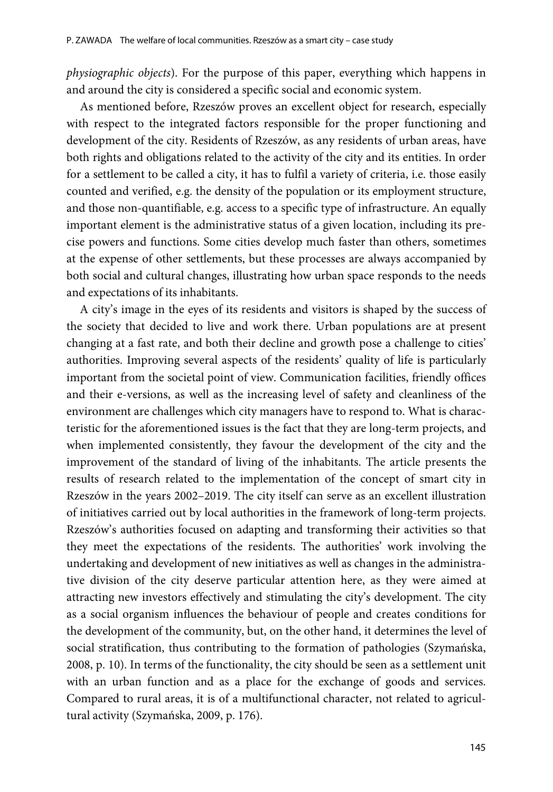*physiographic objects*). For the purpose of this paper, everything which happens in and around the city is considered a specific social and economic system.

As mentioned before, Rzeszów proves an excellent object for research, especially with respect to the integrated factors responsible for the proper functioning and development of the city. Residents of Rzeszów, as any residents of urban areas, have both rights and obligations related to the activity of the city and its entities. In order for a settlement to be called a city, it has to fulfil a variety of criteria, i.e. those easily counted and verified, e.g. the density of the population or its employment structure, and those non-quantifiable, e.g. access to a specific type of infrastructure. An equally important element is the administrative status of a given location, including its precise powers and functions. Some cities develop much faster than others, sometimes at the expense of other settlements, but these processes are always accompanied by both social and cultural changes, illustrating how urban space responds to the needs and expectations of its inhabitants.

A city's image in the eyes of its residents and visitors is shaped by the success of the society that decided to live and work there. Urban populations are at present changing at a fast rate, and both their decline and growth pose a challenge to cities' authorities. Improving several aspects of the residents' quality of life is particularly important from the societal point of view. Communication facilities, friendly offices and their e-versions, as well as the increasing level of safety and cleanliness of the environment are challenges which city managers have to respond to. What is characteristic for the aforementioned issues is the fact that they are long-term projects, and when implemented consistently, they favour the development of the city and the improvement of the standard of living of the inhabitants. The article presents the results of research related to the implementation of the concept of smart city in Rzeszów in the years 2002–2019. The city itself can serve as an excellent illustration of initiatives carried out by local authorities in the framework of long-term projects. Rzeszów's authorities focused on adapting and transforming their activities so that they meet the expectations of the residents. The authorities' work involving the undertaking and development of new initiatives as well as changes in the administrative division of the city deserve particular attention here, as they were aimed at attracting new investors effectively and stimulating the city's development. The city as a social organism influences the behaviour of people and creates conditions for the development of the community, but, on the other hand, it determines the level of social stratification, thus contributing to the formation of pathologies (Szymańska, 2008, p. 10). In terms of the functionality, the city should be seen as a settlement unit with an urban function and as a place for the exchange of goods and services. Compared to rural areas, it is of a multifunctional character, not related to agricultural activity (Szymańska, 2009, p. 176).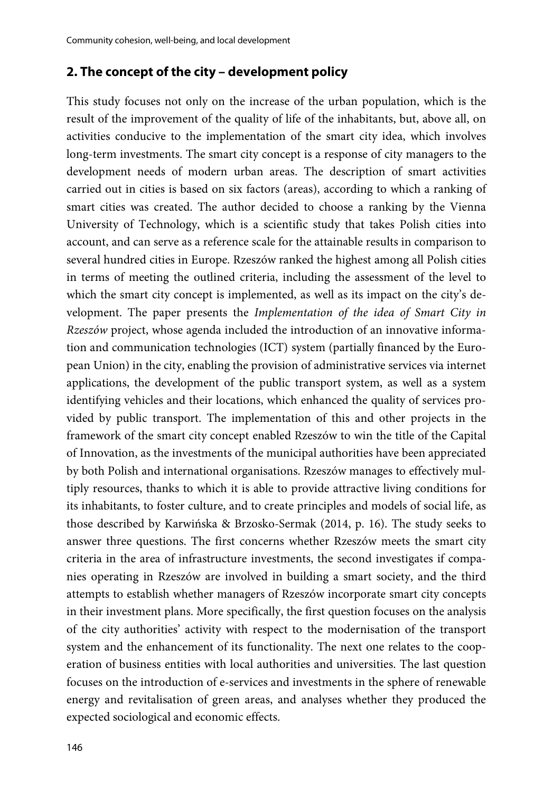#### **2. The concept of the city – development policy**

This study focuses not only on the increase of the urban population, which is the result of the improvement of the quality of life of the inhabitants, but, above all, on activities conducive to the implementation of the smart city idea, which involves long-term investments. The smart city concept is a response of city managers to the development needs of modern urban areas. The description of smart activities carried out in cities is based on six factors (areas), according to which a ranking of smart cities was created. The author decided to choose a ranking by the Vienna University of Technology, which is a scientific study that takes Polish cities into account, and can serve as a reference scale for the attainable results in comparison to several hundred cities in Europe. Rzeszów ranked the highest among all Polish cities in terms of meeting the outlined criteria, including the assessment of the level to which the smart city concept is implemented, as well as its impact on the city's development. The paper presents the *Implementation of the idea of Smart City in Rzeszów* project, whose agenda included the introduction of an innovative information and communication technologies (ICT) system (partially financed by the European Union) in the city, enabling the provision of administrative services via internet applications, the development of the public transport system, as well as a system identifying vehicles and their locations, which enhanced the quality of services provided by public transport. The implementation of this and other projects in the framework of the smart city concept enabled Rzeszów to win the title of the Capital of Innovation, as the investments of the municipal authorities have been appreciated by both Polish and international organisations. Rzeszów manages to effectively multiply resources, thanks to which it is able to provide attractive living conditions for its inhabitants, to foster culture, and to create principles and models of social life, as those described by Karwińska & Brzosko-Sermak (2014, p. 16). The study seeks to answer three questions. The first concerns whether Rzeszów meets the smart city criteria in the area of infrastructure investments, the second investigates if companies operating in Rzeszów are involved in building a smart society, and the third attempts to establish whether managers of Rzeszów incorporate smart city concepts in their investment plans. More specifically, the first question focuses on the analysis of the city authorities' activity with respect to the modernisation of the transport system and the enhancement of its functionality. The next one relates to the cooperation of business entities with local authorities and universities. The last question focuses on the introduction of e-services and investments in the sphere of renewable energy and revitalisation of green areas, and analyses whether they produced the expected sociological and economic effects.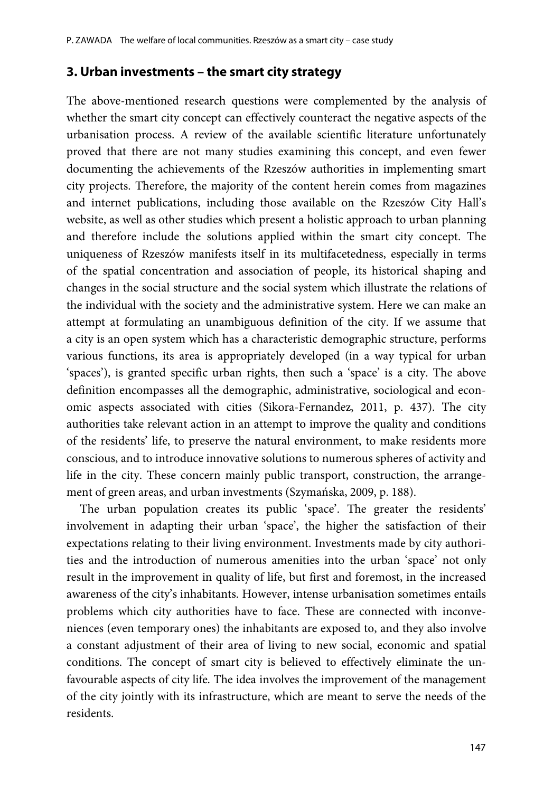#### **3. Urban investments – the smart city strategy**

The above-mentioned research questions were complemented by the analysis of whether the smart city concept can effectively counteract the negative aspects of the urbanisation process. A review of the available scientific literature unfortunately proved that there are not many studies examining this concept, and even fewer documenting the achievements of the Rzeszów authorities in implementing smart city projects. Therefore, the majority of the content herein comes from magazines and internet publications, including those available on the Rzeszów City Hall's website, as well as other studies which present a holistic approach to urban planning and therefore include the solutions applied within the smart city concept. The uniqueness of Rzeszów manifests itself in its multifacetedness, especially in terms of the spatial concentration and association of people, its historical shaping and changes in the social structure and the social system which illustrate the relations of the individual with the society and the administrative system. Here we can make an attempt at formulating an unambiguous definition of the city. If we assume that a city is an open system which has a characteristic demographic structure, performs various functions, its area is appropriately developed (in a way typical for urban 'spaces'), is granted specific urban rights, then such a 'space' is a city. The above definition encompasses all the demographic, administrative, sociological and economic aspects associated with cities (Sikora-Fernandez, 2011, p. 437). The city authorities take relevant action in an attempt to improve the quality and conditions of the residents' life, to preserve the natural environment, to make residents more conscious, and to introduce innovative solutions to numerous spheres of activity and life in the city. These concern mainly public transport, construction, the arrangement of green areas, and urban investments (Szymańska, 2009, p. 188).

The urban population creates its public 'space'. The greater the residents' involvement in adapting their urban 'space', the higher the satisfaction of their expectations relating to their living environment. Investments made by city authorities and the introduction of numerous amenities into the urban 'space' not only result in the improvement in quality of life, but first and foremost, in the increased awareness of the city's inhabitants. However, intense urbanisation sometimes entails problems which city authorities have to face. These are connected with inconveniences (even temporary ones) the inhabitants are exposed to, and they also involve a constant adjustment of their area of living to new social, economic and spatial conditions. The concept of smart city is believed to effectively eliminate the unfavourable aspects of city life. The idea involves the improvement of the management of the city jointly with its infrastructure, which are meant to serve the needs of the residents.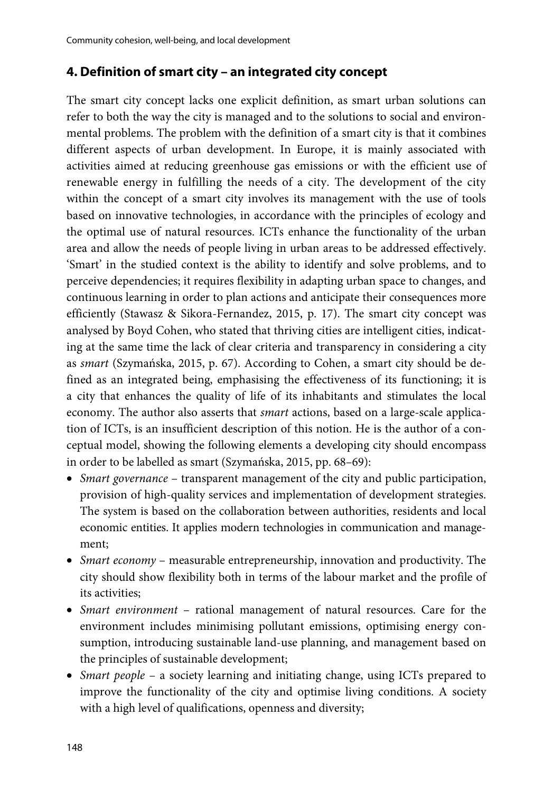## **4. Definition of smart city – an integrated city concept**

The smart city concept lacks one explicit definition, as smart urban solutions can refer to both the way the city is managed and to the solutions to social and environmental problems. The problem with the definition of a smart city is that it combines different aspects of urban development. In Europe, it is mainly associated with activities aimed at reducing greenhouse gas emissions or with the efficient use of renewable energy in fulfilling the needs of a city. The development of the city within the concept of a smart city involves its management with the use of tools based on innovative technologies, in accordance with the principles of ecology and the optimal use of natural resources. ICTs enhance the functionality of the urban area and allow the needs of people living in urban areas to be addressed effectively. 'Smart' in the studied context is the ability to identify and solve problems, and to perceive dependencies; it requires flexibility in adapting urban space to changes, and continuous learning in order to plan actions and anticipate their consequences more efficiently (Stawasz & Sikora-Fernandez, 2015, p. 17). The smart city concept was analysed by Boyd Cohen, who stated that thriving cities are intelligent cities, indicating at the same time the lack of clear criteria and transparency in considering a city as *smart* (Szymańska, 2015, p. 67). According to Cohen, a smart city should be defined as an integrated being, emphasising the effectiveness of its functioning; it is a city that enhances the quality of life of its inhabitants and stimulates the local economy. The author also asserts that *smart* actions, based on a large-scale application of ICTs, is an insufficient description of this notion. He is the author of a conceptual model, showing the following elements a developing city should encompass in order to be labelled as smart (Szymańska, 2015, pp. 68–69):

- *Smart governance*  transparent management of the city and public participation, provision of high-quality services and implementation of development strategies. The system is based on the collaboration between authorities, residents and local economic entities. It applies modern technologies in communication and management;
- *Smart economy* measurable entrepreneurship, innovation and productivity. The city should show flexibility both in terms of the labour market and the profile of its activities;
- *Smart environment* rational management of natural resources. Care for the environment includes minimising pollutant emissions, optimising energy consumption, introducing sustainable land-use planning, and management based on the principles of sustainable development;
- *Smart people* a society learning and initiating change, using ICTs prepared to improve the functionality of the city and optimise living conditions. A society with a high level of qualifications, openness and diversity;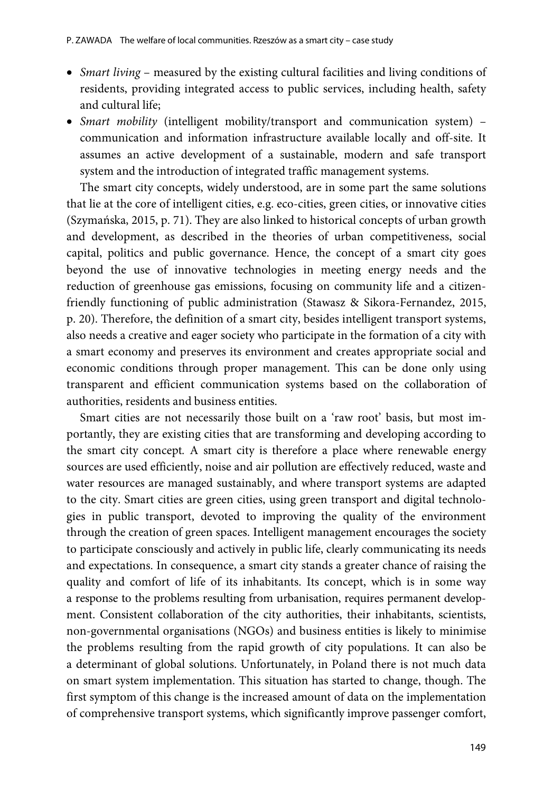- *Smart living*  measured by the existing cultural facilities and living conditions of residents, providing integrated access to public services, including health, safety and cultural life;
- *Smart mobility* (intelligent mobility/transport and communication system) communication and information infrastructure available locally and off-site. It assumes an active development of a sustainable, modern and safe transport system and the introduction of integrated traffic management systems.

The smart city concepts, widely understood, are in some part the same solutions that lie at the core of intelligent cities, e.g. eco-cities, green cities, or innovative cities (Szymańska, 2015, p. 71). They are also linked to historical concepts of urban growth and development, as described in the theories of urban competitiveness, social capital, politics and public governance. Hence, the concept of a smart city goes beyond the use of innovative technologies in meeting energy needs and the reduction of greenhouse gas emissions, focusing on community life and a citizenfriendly functioning of public administration (Stawasz & Sikora-Fernandez, 2015, p. 20). Therefore, the definition of a smart city, besides intelligent transport systems, also needs a creative and eager society who participate in the formation of a city with a smart economy and preserves its environment and creates appropriate social and economic conditions through proper management. This can be done only using transparent and efficient communication systems based on the collaboration of authorities, residents and business entities.

Smart cities are not necessarily those built on a 'raw root' basis, but most importantly, they are existing cities that are transforming and developing according to the smart city concept*.* A smart city is therefore a place where renewable energy sources are used efficiently, noise and air pollution are effectively reduced, waste and water resources are managed sustainably, and where transport systems are adapted to the city. Smart cities are green cities, using green transport and digital technologies in public transport, devoted to improving the quality of the environment through the creation of green spaces. Intelligent management encourages the society to participate consciously and actively in public life, clearly communicating its needs and expectations. In consequence, a smart city stands a greater chance of raising the quality and comfort of life of its inhabitants. Its concept, which is in some way a response to the problems resulting from urbanisation, requires permanent development. Consistent collaboration of the city authorities, their inhabitants, scientists, non-governmental organisations (NGOs) and business entities is likely to minimise the problems resulting from the rapid growth of city populations. It can also be a determinant of global solutions. Unfortunately, in Poland there is not much data on smart system implementation. This situation has started to change, though. The first symptom of this change is the increased amount of data on the implementation of comprehensive transport systems, which significantly improve passenger comfort,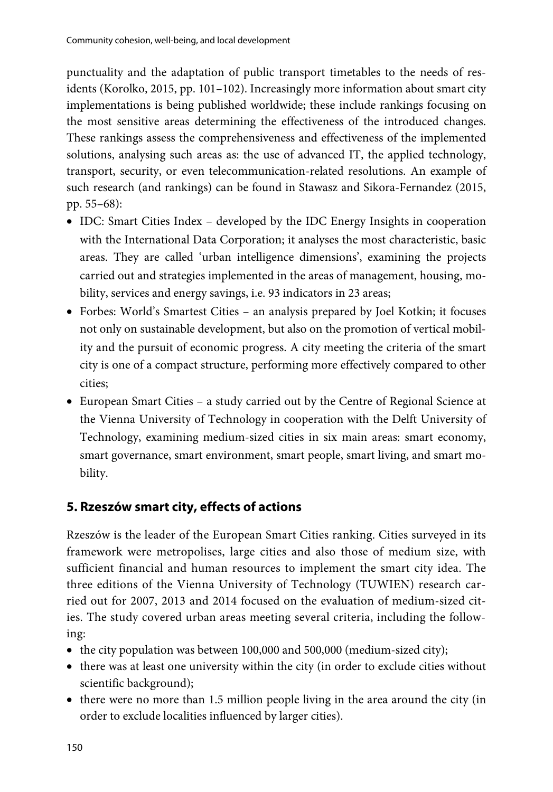punctuality and the adaptation of public transport timetables to the needs of residents (Korolko, 2015, pp. 101–102). Increasingly more information about smart city implementations is being published worldwide; these include rankings focusing on the most sensitive areas determining the effectiveness of the introduced changes. These rankings assess the comprehensiveness and effectiveness of the implemented solutions, analysing such areas as: the use of advanced IT, the applied technology, transport, security, or even telecommunication-related resolutions. An example of such research (and rankings) can be found in Stawasz and Sikora-Fernandez (2015, pp. 55–68):

- IDC: Smart Cities Index developed by the IDC Energy Insights in cooperation with the International Data Corporation; it analyses the most characteristic, basic areas. They are called 'urban intelligence dimensions', examining the projects carried out and strategies implemented in the areas of management, housing, mobility, services and energy savings, i.e. 93 indicators in 23 areas;
- Forbes: World's Smartest Cities an analysis prepared by Joel Kotkin; it focuses not only on sustainable development, but also on the promotion of vertical mobility and the pursuit of economic progress. A city meeting the criteria of the smart city is one of a compact structure, performing more effectively compared to other cities;
- European Smart Cities a study carried out by the Centre of Regional Science at the Vienna University of Technology in cooperation with the Delft University of Technology, examining medium-sized cities in six main areas: smart economy, smart governance, smart environment, smart people, smart living, and smart mobility.

## **5. Rzeszów smart city, effects of actions**

Rzeszów is the leader of the European Smart Cities ranking. Cities surveyed in its framework were metropolises, large cities and also those of medium size, with sufficient financial and human resources to implement the smart city idea. The three editions of the Vienna University of Technology (TUWIEN) research carried out for 2007, 2013 and 2014 focused on the evaluation of medium-sized cities. The study covered urban areas meeting several criteria, including the following:

- the city population was between 100,000 and 500,000 (medium-sized city);
- there was at least one university within the city (in order to exclude cities without scientific background);
- there were no more than 1.5 million people living in the area around the city (in order to exclude localities influenced by larger cities).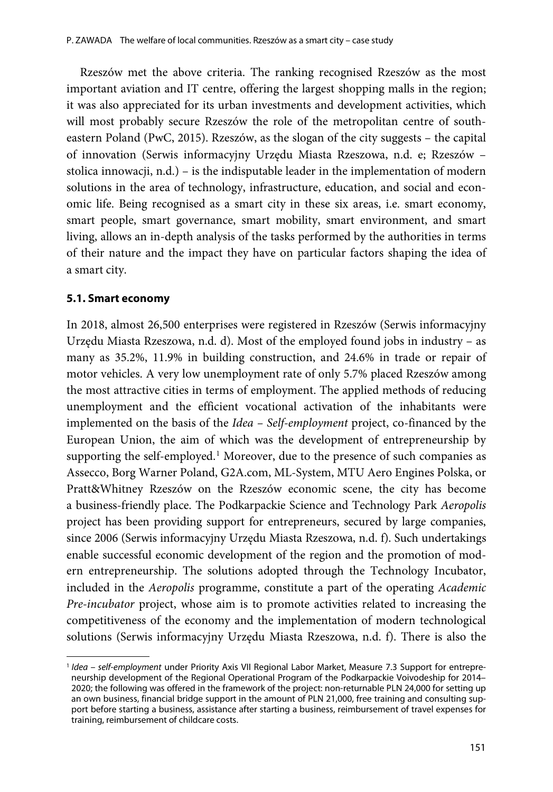Rzeszów met the above criteria. The ranking recognised Rzeszów as the most important aviation and IT centre, offering the largest shopping malls in the region; it was also appreciated for its urban investments and development activities, which will most probably secure Rzeszów the role of the metropolitan centre of southeastern Poland (PwC, 2015). Rzeszów, as the slogan of the city suggests – the capital of innovation (Serwis informacyjny Urzędu Miasta Rzeszowa, n.d. e; Rzeszów – stolica innowacji, n.d.) – is the indisputable leader in the implementation of modern solutions in the area of technology, infrastructure, education, and social and economic life. Being recognised as a smart city in these six areas, i.e. smart economy, smart people, smart governance, smart mobility, smart environment, and smart living, allows an in-depth analysis of the tasks performed by the authorities in terms of their nature and the impact they have on particular factors shaping the idea of a smart city.

#### **5.1. Smart economy**

In 2018, almost 26,500 enterprises were registered in Rzeszów (Serwis informacyjny Urzędu Miasta Rzeszowa, n.d. d). Most of the employed found jobs in industry – as many as 35.2%, 11.9% in building construction, and 24.6% in trade or repair of motor vehicles. A very low unemployment rate of only 5.7% placed Rzeszów among the most attractive cities in terms of employment. The applied methods of reducing unemployment and the efficient vocational activation of the inhabitants were implemented on the basis of the *Idea – Self-employment* project, co-financed by the European Union, the aim of which was the development of entrepreneurship by supporting the self-employed.<sup>[1](#page-7-0)</sup> Moreover, due to the presence of such companies as Assecco, Borg Warner Poland, G2A.com, ML-System, MTU Aero Engines Polska, or Pratt&Whitney Rzeszów on the Rzeszów economic scene, the city has become a business-friendly place. The Podkarpackie Science and Technology Park *Aeropolis* project has been providing support for entrepreneurs, secured by large companies, since 2006 (Serwis informacyjny Urzędu Miasta Rzeszowa, n.d. f). Such undertakings enable successful economic development of the region and the promotion of modern entrepreneurship. The solutions adopted through the Technology Incubator, included in the *Aeropolis* programme, constitute a part of the operating *Academic Pre-incubator* project, whose aim is to promote activities related to increasing the competitiveness of the economy and the implementation of modern technological solutions (Serwis informacyjny Urzędu Miasta Rzeszowa, n.d. f). There is also the

<span id="page-7-0"></span><sup>1</sup> *Idea – self-employment* under Priority Axis VII Regional Labor Market, Measure 7.3 Support for entrepreneurship development of the Regional Operational Program of the Podkarpackie Voivodeship for 2014– 2020; the following was offered in the framework of the project: non-returnable PLN 24,000 for setting up an own business, financial bridge support in the amount of PLN 21,000, free training and consulting support before starting a business, assistance after starting a business, reimbursement of travel expenses for training, reimbursement of childcare costs.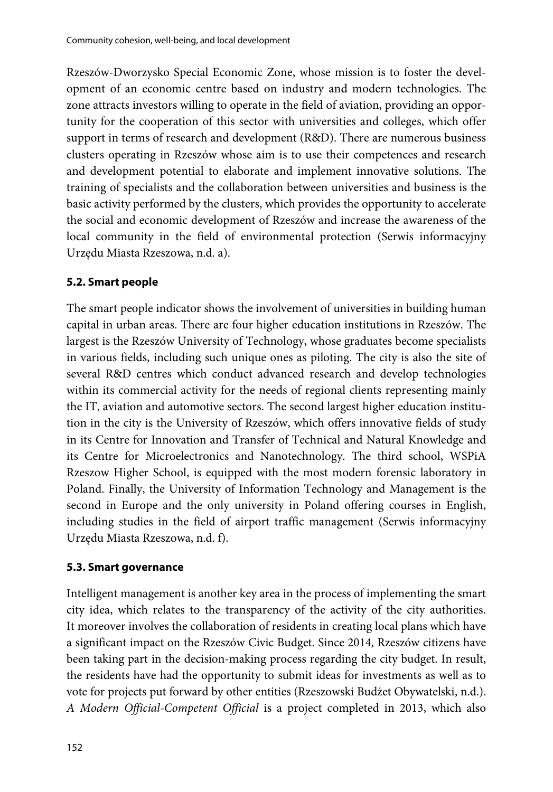Rzeszów-Dworzysko Special Economic Zone, whose mission is to foster the development of an economic centre based on industry and modern technologies. The zone attracts investors willing to operate in the field of aviation, providing an opportunity for the cooperation of this sector with universities and colleges, which offer support in terms of research and development (R&D). There are numerous business clusters operating in Rzeszów whose aim is to use their competences and research and development potential to elaborate and implement innovative solutions. The training of specialists and the collaboration between universities and business is the basic activity performed by the clusters, which provides the opportunity to accelerate the social and economic development of Rzeszów and increase the awareness of the local community in the field of environmental protection (Serwis informacyjny Urzędu Miasta Rzeszowa, n.d. a).

#### **5.2. Smart people**

The smart people indicator shows the involvement of universities in building human capital in urban areas. There are four higher education institutions in Rzeszów. The largest is the Rzeszów University of Technology, whose graduates become specialists in various fields, including such unique ones as piloting. The city is also the site of several R&D centres which conduct advanced research and develop technologies within its commercial activity for the needs of regional clients representing mainly the IT, aviation and automotive sectors. The second largest higher education institution in the city is the University of Rzeszów, which offers innovative fields of study in its Centre for Innovation and Transfer of Technical and Natural Knowledge and its Centre for Microelectronics and Nanotechnology. The third school, WSPiA Rzeszow Higher School, is equipped with the most modern forensic laboratory in Poland. Finally, the University of Information Technology and Management is the second in Europe and the only university in Poland offering courses in English, including studies in the field of airport traffic management (Serwis informacyjny Urzędu Miasta Rzeszowa, n.d. f).

#### **5.3. Smart governance**

Intelligent management is another key area in the process of implementing the smart city idea, which relates to the transparency of the activity of the city authorities. It moreover involves the collaboration of residents in creating local plans which have a significant impact on the Rzeszów Civic Budget. Since 2014, Rzeszów citizens have been taking part in the decision-making process regarding the city budget. In result, the residents have had the opportunity to submit ideas for investments as well as to vote for projects put forward by other entities (Rzeszowski Budżet Obywatelski, n.d.). *A Modern Official-Competent Official* is a project completed in 2013, which also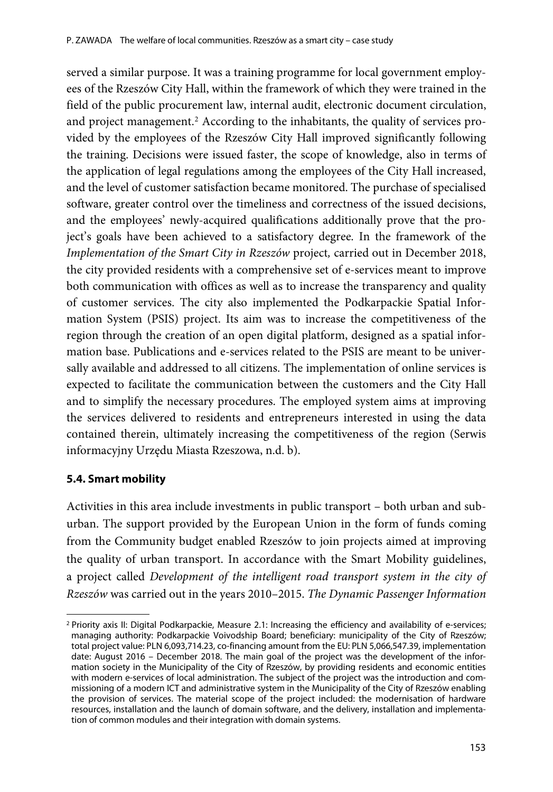served a similar purpose. It was a training programme for local government employees of the Rzeszów City Hall, within the framework of which they were trained in the field of the public procurement law, internal audit, electronic document circulation, and project management.<sup>[2](#page-9-0)</sup> According to the inhabitants, the quality of services provided by the employees of the Rzeszów City Hall improved significantly following the training. Decisions were issued faster, the scope of knowledge, also in terms of the application of legal regulations among the employees of the City Hall increased, and the level of customer satisfaction became monitored. The purchase of specialised software, greater control over the timeliness and correctness of the issued decisions, and the employees' newly-acquired qualifications additionally prove that the project's goals have been achieved to a satisfactory degree. In the framework of the *Implementation of the Smart City in Rzeszów* project*,* carried out in December 2018, the city provided residents with a comprehensive set of e-services meant to improve both communication with offices as well as to increase the transparency and quality of customer services. The city also implemented the Podkarpackie Spatial Information System (PSIS) project. Its aim was to increase the competitiveness of the region through the creation of an open digital platform, designed as a spatial information base. Publications and e-services related to the PSIS are meant to be universally available and addressed to all citizens. The implementation of online services is expected to facilitate the communication between the customers and the City Hall and to simplify the necessary procedures. The employed system aims at improving the services delivered to residents and entrepreneurs interested in using the data contained therein, ultimately increasing the competitiveness of the region (Serwis informacyjny Urzędu Miasta Rzeszowa, n.d. b).

### **5.4. Smart mobility**

Activities in this area include investments in public transport – both urban and suburban. The support provided by the European Union in the form of funds coming from the Community budget enabled Rzeszów to join projects aimed at improving the quality of urban transport. In accordance with the Smart Mobility guidelines, a project called *Development of the intelligent road transport system in the city of Rzeszów* was carried out in the years 2010–2015. *The Dynamic Passenger Information* 

<span id="page-9-0"></span><sup>&</sup>lt;sup>2</sup> Priority axis II: Digital Podkarpackie, Measure 2.1: Increasing the efficiency and availability of e-services; managing authority: Podkarpackie Voivodship Board; beneficiary: municipality of the City of Rzeszów; total project value: PLN 6,093,714.23, co-financing amount from the EU: PLN 5,066,547.39, implementation date: August 2016 – December 2018. The main goal of the project was the development of the information society in the Municipality of the City of Rzeszów, by providing residents and economic entities with modern e-services of local administration. The subject of the project was the introduction and commissioning of a modern ICT and administrative system in the Municipality of the City of Rzeszów enabling the provision of services. The material scope of the project included: the modernisation of hardware resources, installation and the launch of domain software, and the delivery, installation and implementation of common modules and their integration with domain systems.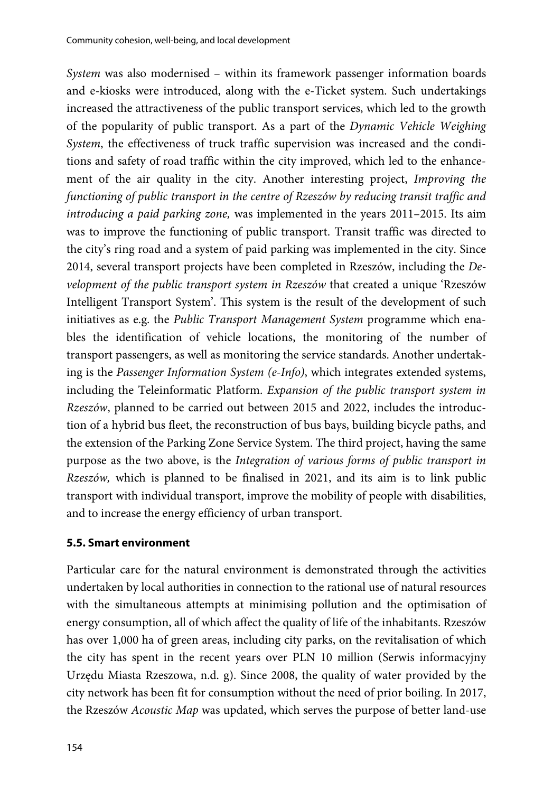*System* was also modernised – within its framework passenger information boards and e-kiosks were introduced, along with the e-Ticket system. Such undertakings increased the attractiveness of the public transport services, which led to the growth of the popularity of public transport. As a part of the *Dynamic Vehicle Weighing System*, the effectiveness of truck traffic supervision was increased and the conditions and safety of road traffic within the city improved, which led to the enhancement of the air quality in the city. Another interesting project, *Improving the functioning of public transport in the centre of Rzeszów by reducing transit traffic and introducing a paid parking zone,* was implemented in the years 2011–2015. Its aim was to improve the functioning of public transport. Transit traffic was directed to the city's ring road and a system of paid parking was implemented in the city. Since 2014, several transport projects have been completed in Rzeszów, including the *Development of the public transport system in Rzeszów* that created a unique 'Rzeszów Intelligent Transport System'. This system is the result of the development of such initiatives as e.g. the *Public Transport Management System* programme which enables the identification of vehicle locations, the monitoring of the number of transport passengers, as well as monitoring the service standards. Another undertaking is the *Passenger Information System (e-Info)*, which integrates extended systems, including the Teleinformatic Platform. *Expansion of the public transport system in Rzeszów*, planned to be carried out between 2015 and 2022, includes the introduction of a hybrid bus fleet, the reconstruction of bus bays, building bicycle paths, and the extension of the Parking Zone Service System. The third project, having the same purpose as the two above, is the *Integration of various forms of public transport in Rzeszów,* which is planned to be finalised in 2021, and its aim is to link public transport with individual transport, improve the mobility of people with disabilities, and to increase the energy efficiency of urban transport.

#### **5.5. Smart environment**

Particular care for the natural environment is demonstrated through the activities undertaken by local authorities in connection to the rational use of natural resources with the simultaneous attempts at minimising pollution and the optimisation of energy consumption, all of which affect the quality of life of the inhabitants. Rzeszów has over 1,000 ha of green areas, including city parks, on the revitalisation of which the city has spent in the recent years over PLN 10 million (Serwis informacyjny Urzędu Miasta Rzeszowa, n.d. g). Since 2008, the quality of water provided by the city network has been fit for consumption without the need of prior boiling. In 2017, the Rzeszów *Acoustic Map* was updated, which serves the purpose of better land-use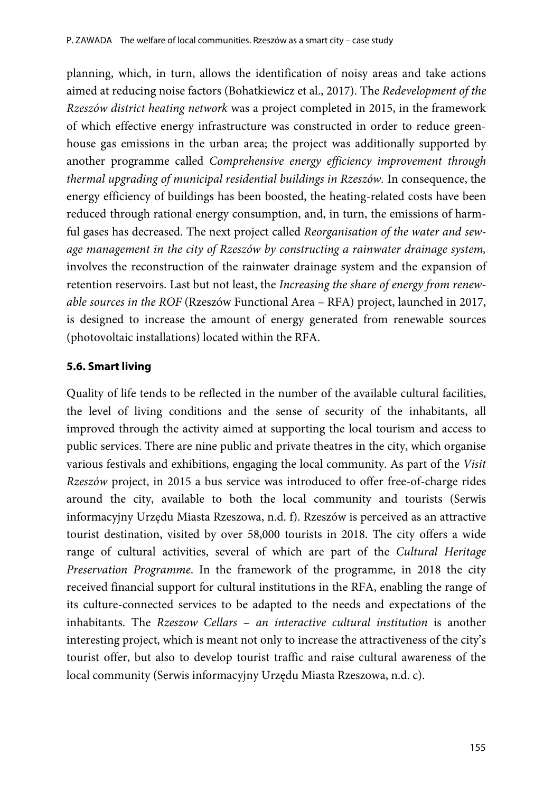planning, which, in turn, allows the identification of noisy areas and take actions aimed at reducing noise factors (Bohatkiewicz et al., 2017). The *Redevelopment of the Rzeszów district heating network* was a project completed in 2015, in the framework of which effective energy infrastructure was constructed in order to reduce greenhouse gas emissions in the urban area; the project was additionally supported by another programme called *Comprehensive energy efficiency improvement through thermal upgrading of municipal residential buildings in Rzeszów.* In consequence, the energy efficiency of buildings has been boosted, the heating-related costs have been reduced through rational energy consumption, and, in turn, the emissions of harmful gases has decreased. The next project called *Reorganisation of the water and sewage management in the city of Rzeszów by constructing a rainwater drainage system,* involves the reconstruction of the rainwater drainage system and the expansion of retention reservoirs. Last but not least, the *Increasing the share of energy from renewable sources in the ROF* (Rzeszów Functional Area – RFA) project, launched in 2017, is designed to increase the amount of energy generated from renewable sources (photovoltaic installations) located within the RFA.

#### **5.6. Smart living**

Quality of life tends to be reflected in the number of the available cultural facilities, the level of living conditions and the sense of security of the inhabitants, all improved through the activity aimed at supporting the local tourism and access to public services. There are nine public and private theatres in the city, which organise various festivals and exhibitions, engaging the local community. As part of the *Visit Rzeszów* project, in 2015 a bus service was introduced to offer free-of-charge rides around the city, available to both the local community and tourists (Serwis informacyjny Urzędu Miasta Rzeszowa, n.d. f). Rzeszów is perceived as an attractive tourist destination, visited by over 58,000 tourists in 2018. The city offers a wide range of cultural activities, several of which are part of the *Cultural Heritage Preservation Programme*. In the framework of the programme, in 2018 the city received financial support for cultural institutions in the RFA, enabling the range of its culture-connected services to be adapted to the needs and expectations of the inhabitants. The *Rzeszow Cellars* – *an interactive cultural institution* is another interesting project, which is meant not only to increase the attractiveness of the city's tourist offer, but also to develop tourist traffic and raise cultural awareness of the local community (Serwis informacyjny Urzędu Miasta Rzeszowa, n.d. c).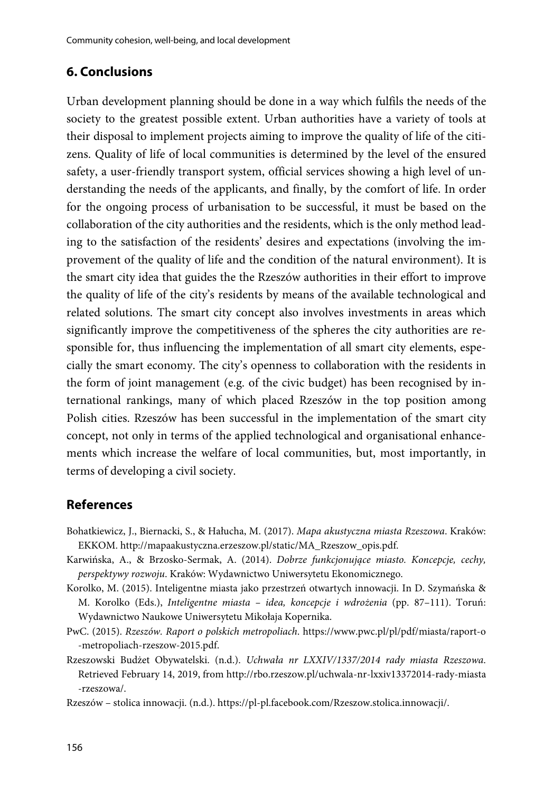## **6. Conclusions**

Urban development planning should be done in a way which fulfils the needs of the society to the greatest possible extent. Urban authorities have a variety of tools at their disposal to implement projects aiming to improve the quality of life of the citizens. Quality of life of local communities is determined by the level of the ensured safety, a user-friendly transport system, official services showing a high level of understanding the needs of the applicants, and finally, by the comfort of life. In order for the ongoing process of urbanisation to be successful, it must be based on the collaboration of the city authorities and the residents, which is the only method leading to the satisfaction of the residents' desires and expectations (involving the improvement of the quality of life and the condition of the natural environment). It is the smart city idea that guides the the Rzeszów authorities in their effort to improve the quality of life of the city's residents by means of the available technological and related solutions. The smart city concept also involves investments in areas which significantly improve the competitiveness of the spheres the city authorities are responsible for, thus influencing the implementation of all smart city elements, especially the smart economy. The city's openness to collaboration with the residents in the form of joint management (e.g. of the civic budget) has been recognised by international rankings, many of which placed Rzeszów in the top position among Polish cities. Rzeszów has been successful in the implementation of the smart city concept, not only in terms of the applied technological and organisational enhancements which increase the welfare of local communities, but, most importantly, in terms of developing a civil society.

### **References**

- Bohatkiewicz, J., Biernacki, S., & Hałucha, M. (2017). *Mapa akustyczna miasta Rzeszowa*. Kraków: EKKOM[. http://mapaakustyczna.erzeszow.pl/static/MA\\_Rzeszow\\_opis.pdf.](http://mapaakustyczna.erzeszow.pl/static/MA_Rzeszow_opis.pdf)
- Karwińska, A., & Brzosko-Sermak, A. (2014). *Dobrze funkcjonujące miasto. Koncepcje, cechy, perspektywy rozwoju*. Kraków: Wydawnictwo Uniwersytetu Ekonomicznego.
- Korolko, M. (2015). Inteligentne miasta jako przestrzeń otwartych innowacji. In D. Szymańska & M. Korolko (Eds.), *Inteligentne miasta – idea, koncepcje i wdrożenia* (pp. 87–111). Toruń: Wydawnictwo Naukowe Uniwersytetu Mikołaja Kopernika.
- PwC. (2015). *Rzeszów. Raport o polskich metropoliach*. [https://www.pwc.pl/pl/pdf/miasta/raport-o](https://www.pwc.pl/pl/pdf/miasta/raport-o-metropoliach-rzeszow-2015.pdf) [-metropoliach-rzeszow-2015.pdf.](https://www.pwc.pl/pl/pdf/miasta/raport-o-metropoliach-rzeszow-2015.pdf)
- Rzeszowski Budżet Obywatelski. (n.d.). *Uchwała nr LXXIV/1337/2014 rady miasta Rzeszowa*. Retrieved February 14, 2019, from [http://rbo.rzeszow.pl/uchwala-nr-lxxiv13372014-rady-miasta](http://rbo.rzeszow.pl/uchwala-nr-lxxiv13372014-rady-miasta-rzeszowa/) [-rzeszowa/.](http://rbo.rzeszow.pl/uchwala-nr-lxxiv13372014-rady-miasta-rzeszowa/)
- Rzeszów stolica innowacji. (n.d.)[. https://pl-pl.facebook.com/Rzeszow.stolica.innowacji/.](https://pl-pl.facebook.com/Rzeszow.stolica.innowacji/)